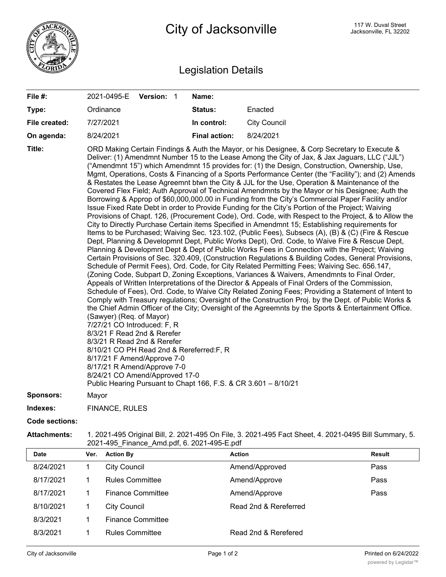

## Legislation Details

| File #:          | 2021-0495-E                                                                                                                                                                                                                                                       | Version: 1 | Name:                                                           |                                                                                                                                                                                                                                                                                                                                                                                                                                                                                                                                                                                                                                                                                                                                                                                                                                                                                                                                                                                                                                                                                                                                                                                                                                                                                                                                                                                                                                                                                                                                                                                                                                                                                                                                                                                                                                                                                                                                                                                                                                                                        |
|------------------|-------------------------------------------------------------------------------------------------------------------------------------------------------------------------------------------------------------------------------------------------------------------|------------|-----------------------------------------------------------------|------------------------------------------------------------------------------------------------------------------------------------------------------------------------------------------------------------------------------------------------------------------------------------------------------------------------------------------------------------------------------------------------------------------------------------------------------------------------------------------------------------------------------------------------------------------------------------------------------------------------------------------------------------------------------------------------------------------------------------------------------------------------------------------------------------------------------------------------------------------------------------------------------------------------------------------------------------------------------------------------------------------------------------------------------------------------------------------------------------------------------------------------------------------------------------------------------------------------------------------------------------------------------------------------------------------------------------------------------------------------------------------------------------------------------------------------------------------------------------------------------------------------------------------------------------------------------------------------------------------------------------------------------------------------------------------------------------------------------------------------------------------------------------------------------------------------------------------------------------------------------------------------------------------------------------------------------------------------------------------------------------------------------------------------------------------------|
| Type:            | Ordinance                                                                                                                                                                                                                                                         |            | Status:                                                         | Enacted                                                                                                                                                                                                                                                                                                                                                                                                                                                                                                                                                                                                                                                                                                                                                                                                                                                                                                                                                                                                                                                                                                                                                                                                                                                                                                                                                                                                                                                                                                                                                                                                                                                                                                                                                                                                                                                                                                                                                                                                                                                                |
| File created:    | 7/27/2021                                                                                                                                                                                                                                                         |            | In control:                                                     | <b>City Council</b>                                                                                                                                                                                                                                                                                                                                                                                                                                                                                                                                                                                                                                                                                                                                                                                                                                                                                                                                                                                                                                                                                                                                                                                                                                                                                                                                                                                                                                                                                                                                                                                                                                                                                                                                                                                                                                                                                                                                                                                                                                                    |
| On agenda:       | 8/24/2021                                                                                                                                                                                                                                                         |            | <b>Final action:</b>                                            | 8/24/2021                                                                                                                                                                                                                                                                                                                                                                                                                                                                                                                                                                                                                                                                                                                                                                                                                                                                                                                                                                                                                                                                                                                                                                                                                                                                                                                                                                                                                                                                                                                                                                                                                                                                                                                                                                                                                                                                                                                                                                                                                                                              |
| Title:           | (Sawyer) (Req. of Mayor)<br>7/27/21 CO Introduced: F, R<br>8/3/21 F Read 2nd & Rerefer<br>8/3/21 R Read 2nd & Rerefer<br>8/10/21 CO PH Read 2nd & Rereferred:F, R<br>8/17/21 F Amend/Approve 7-0<br>8/17/21 R Amend/Approve 7-0<br>8/24/21 CO Amend/Approved 17-0 |            | Public Hearing Pursuant to Chapt 166, F.S. & CR 3.601 - 8/10/21 | ORD Making Certain Findings & Auth the Mayor, or his Designee, & Corp Secretary to Execute &<br>Deliver: (1) Amendmnt Number 15 to the Lease Among the City of Jax, & Jax Jaguars, LLC ("JJL")<br>("Amendmnt 15") which Amendmnt 15 provides for: (1) the Design, Construction, Ownership, Use,<br>Mgmt, Operations, Costs & Financing of a Sports Performance Center (the "Facility"); and (2) Amends<br>& Restates the Lease Agreemnt btwn the City & JJL for the Use, Operation & Maintenance of the<br>Covered Flex Field; Auth Approval of Technical Amendmnts by the Mayor or his Designee; Auth the<br>Borrowing & Approp of \$60,000,000.00 in Funding from the City's Commercial Paper Facility and/or<br>Issue Fixed Rate Debt in order to Provide Funding for the City's Portion of the Project; Waiving<br>Provisions of Chapt. 126, (Procurement Code), Ord. Code, with Respect to the Project, & to Allow the<br>City to Directly Purchase Certain items Specified in Amendmnt 15; Establishing requirements for<br>Items to be Purchased; Waiving Sec. 123.102, (Public Fees), Subsecs (A), (B) & (C) (Fire & Rescue<br>Dept, Planning & Developmnt Dept, Public Works Dept), Ord. Code, to Waive Fire & Rescue Dept,<br>Planning & Developmnt Dept & Dept of Public Works Fees in Connection with the Project; Waiving<br>Certain Provisions of Sec. 320.409, (Construction Regulations & Building Codes, General Provisions,<br>Schedule of Permit Fees), Ord. Code, for City Related Permitting Fees; Waiving Sec. 656.147,<br>(Zoning Code, Subpart D, Zoning Exceptions, Variances & Waivers, Amendmnts to Final Order,<br>Appeals of Written Interpretations of the Director & Appeals of Final Orders of the Commission,<br>Schedule of Fees), Ord. Code, to Waive City Related Zoning Fees; Providing a Statement of Intent to<br>Comply with Treasury regulations; Oversight of the Construction Proj. by the Dept. of Public Works &<br>the Chief Admin Officer of the City; Oversight of the Agreemnts by the Sports & Entertainment Office. |
| <b>Sponsors:</b> | Mayor                                                                                                                                                                                                                                                             |            |                                                                 |                                                                                                                                                                                                                                                                                                                                                                                                                                                                                                                                                                                                                                                                                                                                                                                                                                                                                                                                                                                                                                                                                                                                                                                                                                                                                                                                                                                                                                                                                                                                                                                                                                                                                                                                                                                                                                                                                                                                                                                                                                                                        |
| Indexes:         | <b>FINANCE, RULES</b>                                                                                                                                                                                                                                             |            |                                                                 |                                                                                                                                                                                                                                                                                                                                                                                                                                                                                                                                                                                                                                                                                                                                                                                                                                                                                                                                                                                                                                                                                                                                                                                                                                                                                                                                                                                                                                                                                                                                                                                                                                                                                                                                                                                                                                                                                                                                                                                                                                                                        |

**Code sections:**

**Attachments:** 1. 2021-495 Original Bill, 2. 2021-495 On File, 3. 2021-495 Fact Sheet, 4. 2021-0495 Bill Summary, 5. 2021-495\_Finance\_Amd.pdf, 6. 2021-495-E.pdf

| <b>Date</b> | Ver. | <b>Action By</b>         | <b>Action</b>         | Result |
|-------------|------|--------------------------|-----------------------|--------|
| 8/24/2021   |      | <b>City Council</b>      | Amend/Approved        | Pass   |
| 8/17/2021   |      | <b>Rules Committee</b>   | Amend/Approve         | Pass   |
| 8/17/2021   |      | <b>Finance Committee</b> | Amend/Approve         | Pass   |
| 8/10/2021   |      | <b>City Council</b>      | Read 2nd & Rereferred |        |
| 8/3/2021    |      | <b>Finance Committee</b> |                       |        |
| 8/3/2021    |      | <b>Rules Committee</b>   | Read 2nd & Rerefered  |        |